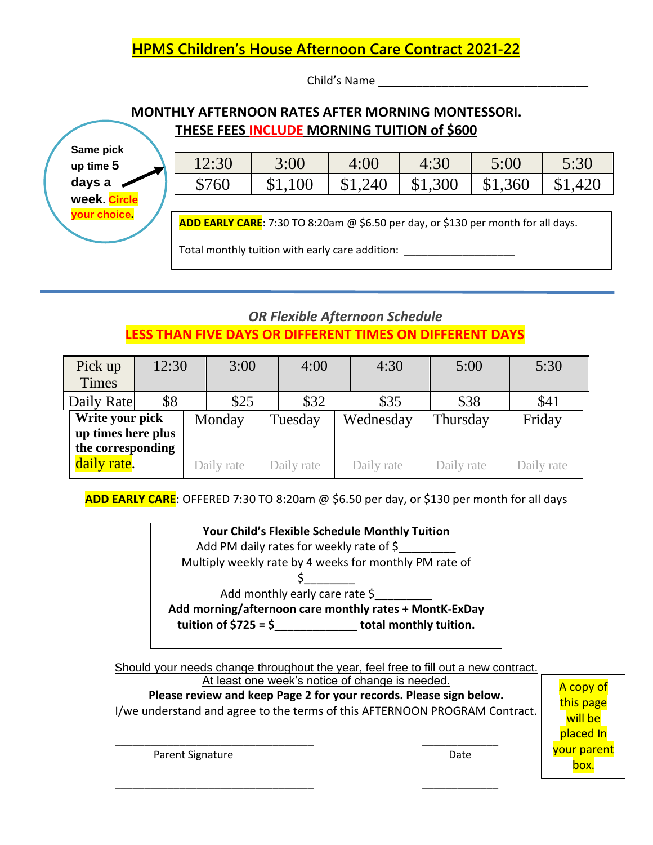## **HPMS Children's House Afternoon Care Contract 2021-22**

Child's Name

## **MONTHLY AFTERNOON RATES AFTER MORNING MONTESSORI. THESE FEES INCLUDE MORNING TUITION of \$600**

**Same pick up time 5 days a week. Circle your choice.**

| 12:30 | 3:00    | 4:00    | 4:30            | 5:00    | 5:30    |
|-------|---------|---------|-----------------|---------|---------|
| \$760 | \$1,100 | \$1,240 | $\frac{$1,300}$ | \$1,360 | \$1,420 |

**ADD EARLY CARE**: 7:30 TO 8:20am @ \$6.50 per day, or \$130 per month for all days.

Total monthly tuition with early care addition:

# *OR Flexible Afternoon Schedule* **LESS THAN FIVE DAYS OR DIFFERENT TIMES ON DIFFERENT DAYS**

| Pick up            | 12:30 |  | 3:00       |      | 4:00       |           | 4:30       | 5:00       |  | 5:30       |
|--------------------|-------|--|------------|------|------------|-----------|------------|------------|--|------------|
| <b>Times</b>       |       |  |            |      |            |           |            |            |  |            |
| Daily Rate         | \$8   |  | \$25       | \$32 |            |           | \$35       | \$38       |  | \$41       |
| Write your pick    |       |  | Monday     |      | Tuesday    | Wednesday |            | Thursday   |  | Friday     |
| up times here plus |       |  |            |      |            |           |            |            |  |            |
| the corresponding  |       |  |            |      |            |           |            |            |  |            |
| daily rate.        |       |  | Daily rate |      | Daily rate |           | Daily rate | Daily rate |  | Daily rate |

**ADD EARLY CARE**: OFFERED 7:30 TO 8:20am @ \$6.50 per day, or \$130 per month for all days

**Your Child's Flexible Schedule Monthly Tuition**

Add PM daily rates for weekly rate of \$

Multiply weekly rate by 4 weeks for monthly PM rate of

Add monthly early care rate \$

 $\mathsf{S}$ 

**Add morning/afternoon care monthly rates + MontK-ExDay** 

**tuition of \$725 = \$\_\_\_\_\_\_\_\_\_\_\_\_\_ total monthly tuition.**

Should your needs change throughout the year, feel free to fill out a new contract.

\_\_\_\_\_\_\_\_\_\_\_\_\_\_\_\_\_\_\_\_\_\_\_\_\_\_\_\_\_\_\_\_\_\_ \_\_\_\_\_\_\_\_\_\_\_\_\_

\_\_\_\_\_\_\_\_\_\_\_\_\_\_\_\_\_\_\_\_\_\_\_\_\_\_\_\_\_\_\_\_\_\_ \_\_\_\_\_\_\_\_\_\_\_\_\_

At least one week's notice of change is needed. **Please review and keep Page 2 for your records. Please sign below.** I/we understand and agree to the terms of this AFTERNOON PROGRAM Contract. A copy of this page will be

Parent Signature Date